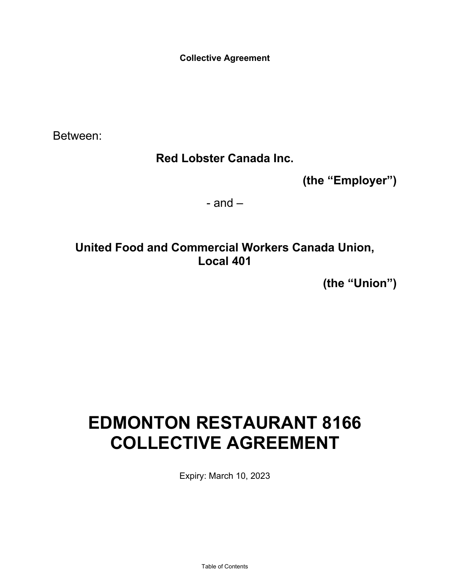**Collective Agreement** 

Between:

# **Red Lobster Canada Inc.**

**(the "Employer")**

 $-$  and  $-$ 

# **United Food and Commercial Workers Canada Union, Local 401**

**(the "Union")**

# **EDMONTON RESTAURANT 8166 COLLECTIVE AGREEMENT**

Expiry: March 10, 2023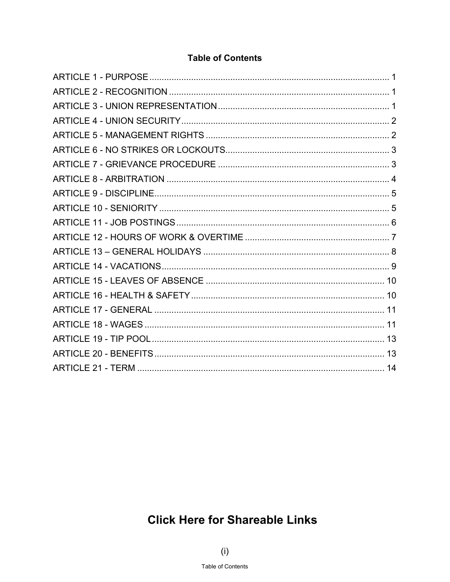# **Table of Contents**

<span id="page-1-0"></span>

# **Click Here for Shareable Links**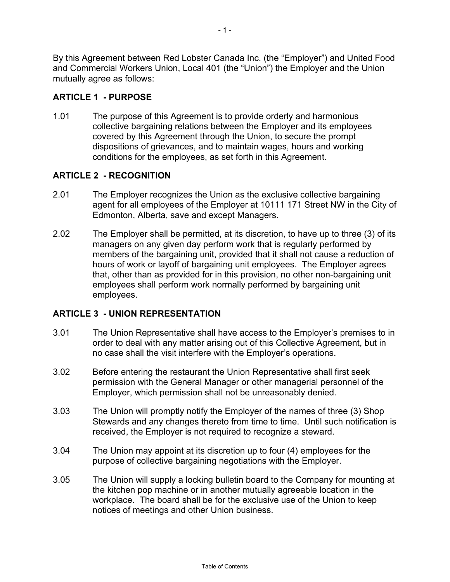<span id="page-2-0"></span>By this Agreement between Red Lobster Canada Inc. (the "Employer") and United Food and Commercial Workers Union, Local 401 (the "Union") the Employer and the Union mutually agree as follows:

# **ARTICLE 1 - PURPOSE**

1.01 The purpose of this Agreement is to provide orderly and harmonious collective bargaining relations between the Employer and its employees covered by this Agreement through the Union, to secure the prompt dispositions of grievances, and to maintain wages, hours and working conditions for the employees, as set forth in this Agreement.

## **ARTICLE 2 - RECOGNITION**

- 2.01 The Employer recognizes the Union as the exclusive collective bargaining agent for all employees of the Employer at 10111 171 Street NW in the City of Edmonton, Alberta, save and except Managers.
- 2.02 The Employer shall be permitted, at its discretion, to have up to three (3) of its managers on any given day perform work that is regularly performed by members of the bargaining unit, provided that it shall not cause a reduction of hours of work or layoff of bargaining unit employees. The Employer agrees that, other than as provided for in this provision, no other non-bargaining unit employees shall perform work normally performed by bargaining unit employees.

#### **ARTICLE 3 - UNION REPRESENTATION**

- 3.01 The Union Representative shall have access to the Employer's premises to in order to deal with any matter arising out of this Collective Agreement, but in no case shall the visit interfere with the Employer's operations.
- 3.02 Before entering the restaurant the Union Representative shall first seek permission with the General Manager or other managerial personnel of the Employer, which permission shall not be unreasonably denied.
- 3.03 The Union will promptly notify the Employer of the names of three (3) Shop Stewards and any changes thereto from time to time. Until such notification is received, the Employer is not required to recognize a steward.
- 3.04 The Union may appoint at its discretion up to four (4) employees for the purpose of collective bargaining negotiations with the Employer.
- 3.05 The Union will supply a locking bulletin board to the Company for mounting at the kitchen pop machine or in another mutually agreeable location in the workplace. The board shall be for the exclusive use of the Union to keep notices of meetings and other Union business.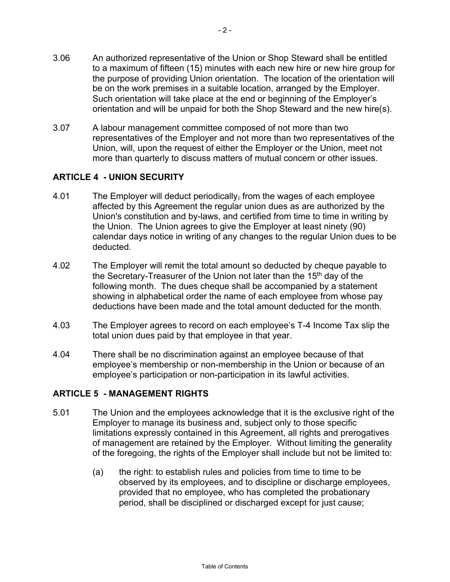- <span id="page-3-0"></span>3.06 An authorized representative of the Union or Shop Steward shall be entitled to a maximum of fifteen (15) minutes with each new hire or new hire group for the purpose of providing Union orientation. The location of the orientation will be on the work premises in a suitable location, arranged by the Employer. Such orientation will take place at the end or beginning of the Employer's orientation and will be unpaid for both the Shop Steward and the new hire(s).
- 3.07 A labour management committee composed of not more than two representatives of the Employer and not more than two representatives of the Union, will, upon the request of either the Employer or the Union, meet not more than quarterly to discuss matters of mutual concern or other issues.

## **ARTICLE 4 - UNION SECURITY**

- 4.01 The Employer will deduct periodically, from the wages of each employee affected by this Agreement the regular union dues as are authorized by the Union's constitution and by-laws, and certified from time to time in writing by the Union. The Union agrees to give the Employer at least ninety (90) calendar days notice in writing of any changes to the regular Union dues to be deducted.
- 4.02 The Employer will remit the total amount so deducted by cheque payable to the Secretary-Treasurer of the Union not later than the 15<sup>th</sup> day of the following month. The dues cheque shall be accompanied by a statement showing in alphabetical order the name of each employee from whose pay deductions have been made and the total amount deducted for the month.
- 4.03 The Employer agrees to record on each employee's T-4 Income Tax slip the total union dues paid by that employee in that year.
- 4.04 There shall be no discrimination against an employee because of that employee's membership or non-membership in the Union or because of an employee's participation or non-participation in its lawful activities.

#### **ARTICLE 5 - MANAGEMENT RIGHTS**

- 5.01 The Union and the employees acknowledge that it is the exclusive right of the Employer to manage its business and, subject only to those specific limitations expressly contained in this Agreement, all rights and prerogatives of management are retained by the Employer. Without limiting the generality of the foregoing, the rights of the Employer shall include but not be limited to:
	- (a) the right: to establish rules and policies from time to time to be observed by its employees, and to discipline or discharge employees, provided that no employee, who has completed the probationary period, shall be disciplined or discharged except for just cause;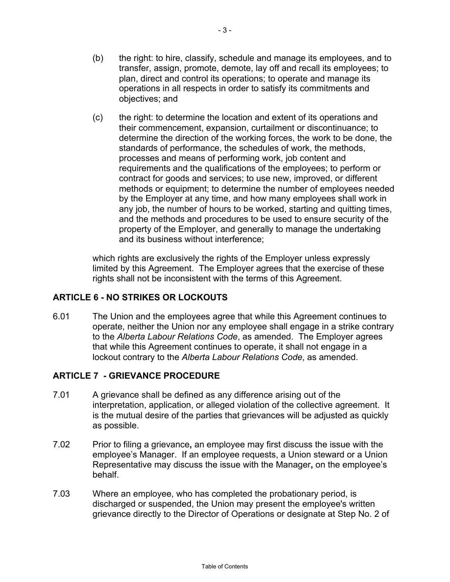- <span id="page-4-0"></span>(b) the right: to hire, classify, schedule and manage its employees, and to transfer, assign, promote, demote, lay off and recall its employees; to plan, direct and control its operations; to operate and manage its operations in all respects in order to satisfy its commitments and objectives; and
- (c) the right: to determine the location and extent of its operations and their commencement, expansion, curtailment or discontinuance; to determine the direction of the working forces, the work to be done, the standards of performance, the schedules of work, the methods, processes and means of performing work, job content and requirements and the qualifications of the employees; to perform or contract for goods and services; to use new, improved, or different methods or equipment; to determine the number of employees needed by the Employer at any time, and how many employees shall work in any job, the number of hours to be worked, starting and quitting times, and the methods and procedures to be used to ensure security of the property of the Employer, and generally to manage the undertaking and its business without interference;

which rights are exclusively the rights of the Employer unless expressly limited by this Agreement. The Employer agrees that the exercise of these rights shall not be inconsistent with the terms of this Agreement.

# **ARTICLE 6 - NO STRIKES OR LOCKOUTS**

6.01 The Union and the employees agree that while this Agreement continues to operate, neither the Union nor any employee shall engage in a strike contrary to the *Alberta Labour Relations Code*, as amended. The Employer agrees that while this Agreement continues to operate, it shall not engage in a lockout contrary to the *Alberta Labour Relations Code*, as amended.

# **ARTICLE 7 - GRIEVANCE PROCEDURE**

- 7.01 A grievance shall be defined as any difference arising out of the interpretation, application, or alleged violation of the collective agreement. It is the mutual desire of the parties that grievances will be adjusted as quickly as possible.
- 7.02 Prior to filing a grievance**,** an employee may first discuss the issue with the employee's Manager. If an employee requests, a Union steward or a Union Representative may discuss the issue with the Manager**,** on the employee's behalf.
- 7.03 Where an employee, who has completed the probationary period, is discharged or suspended, the Union may present the employee's written grievance directly to the Director of Operations or designate at Step No. 2 of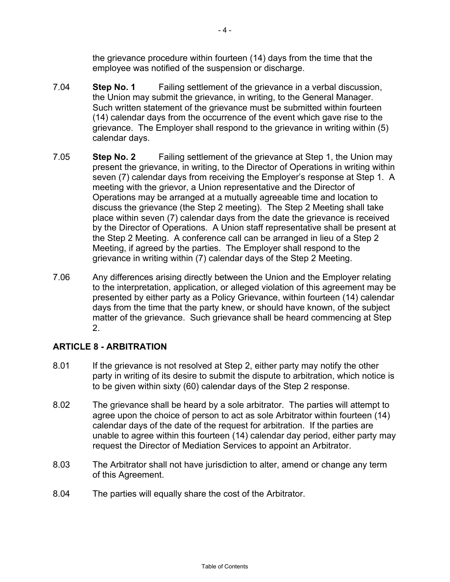the grievance procedure within fourteen (14) days from the time that the employee was notified of the suspension or discharge.

- <span id="page-5-0"></span>7.04 **Step No. 1** Failing settlement of the grievance in a verbal discussion, the Union may submit the grievance, in writing, to the General Manager. Such written statement of the grievance must be submitted within fourteen (14) calendar days from the occurrence of the event which gave rise to the grievance. The Employer shall respond to the grievance in writing within (5) calendar days.
- 7.05 **Step No. 2** Failing settlement of the grievance at Step 1, the Union may present the grievance, in writing, to the Director of Operations in writing within seven (7) calendar days from receiving the Employer's response at Step 1. A meeting with the grievor, a Union representative and the Director of Operations may be arranged at a mutually agreeable time and location to discuss the grievance (the Step 2 meeting). The Step 2 Meeting shall take place within seven (7) calendar days from the date the grievance is received by the Director of Operations. A Union staff representative shall be present at the Step 2 Meeting. A conference call can be arranged in lieu of a Step 2 Meeting, if agreed by the parties. The Employer shall respond to the grievance in writing within (7) calendar days of the Step 2 Meeting.
- 7.06 Any differences arising directly between the Union and the Employer relating to the interpretation, application, or alleged violation of this agreement may be presented by either party as a Policy Grievance, within fourteen (14) calendar days from the time that the party knew, or should have known, of the subject matter of the grievance. Such grievance shall be heard commencing at Step 2.

# **ARTICLE 8 - ARBITRATION**

- 8.01 If the grievance is not resolved at Step 2, either party may notify the other party in writing of its desire to submit the dispute to arbitration, which notice is to be given within sixty (60) calendar days of the Step 2 response.
- 8.02 The grievance shall be heard by a sole arbitrator. The parties will attempt to agree upon the choice of person to act as sole Arbitrator within fourteen (14) calendar days of the date of the request for arbitration. If the parties are unable to agree within this fourteen (14) calendar day period, either party may request the Director of Mediation Services to appoint an Arbitrator.
- 8.03 The Arbitrator shall not have jurisdiction to alter, amend or change any term of this Agreement.
- 8.04 The parties will equally share the cost of the Arbitrator.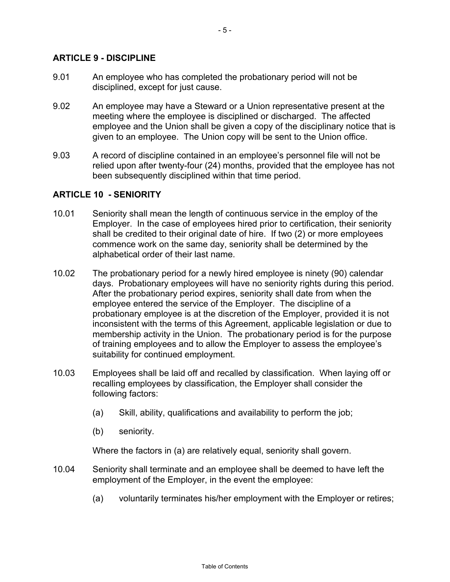#### <span id="page-6-0"></span>**ARTICLE 9 - DISCIPLINE**

- 9.01 An employee who has completed the probationary period will not be disciplined, except for just cause.
- 9.02 An employee may have a Steward or a Union representative present at the meeting where the employee is disciplined or discharged. The affected employee and the Union shall be given a copy of the disciplinary notice that is given to an employee. The Union copy will be sent to the Union office.
- 9.03 A record of discipline contained in an employee's personnel file will not be relied upon after twenty-four (24) months, provided that the employee has not been subsequently disciplined within that time period.

#### **ARTICLE 10 - SENIORITY**

- 10.01 Seniority shall mean the length of continuous service in the employ of the Employer. In the case of employees hired prior to certification, their seniority shall be credited to their original date of hire. If two (2) or more employees commence work on the same day, seniority shall be determined by the alphabetical order of their last name.
- 10.02 The probationary period for a newly hired employee is ninety (90) calendar days. Probationary employees will have no seniority rights during this period. After the probationary period expires, seniority shall date from when the employee entered the service of the Employer. The discipline of a probationary employee is at the discretion of the Employer, provided it is not inconsistent with the terms of this Agreement, applicable legislation or due to membership activity in the Union. The probationary period is for the purpose of training employees and to allow the Employer to assess the employee's suitability for continued employment.
- 10.03 Employees shall be laid off and recalled by classification. When laying off or recalling employees by classification, the Employer shall consider the following factors:
	- (a) Skill, ability, qualifications and availability to perform the job;
	- (b) seniority.

Where the factors in (a) are relatively equal, seniority shall govern.

- 10.04 Seniority shall terminate and an employee shall be deemed to have left the employment of the Employer, in the event the employee:
	- (a) voluntarily terminates his/her employment with the Employer or retires;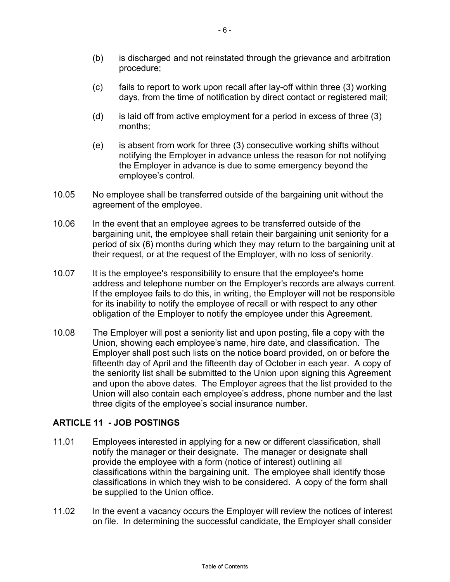- <span id="page-7-0"></span>(b) is discharged and not reinstated through the grievance and arbitration procedure;
- (c) fails to report to work upon recall after lay-off within three (3) working days, from the time of notification by direct contact or registered mail;
- (d) is laid off from active employment for a period in excess of three (3) months;
- (e) is absent from work for three (3) consecutive working shifts without notifying the Employer in advance unless the reason for not notifying the Employer in advance is due to some emergency beyond the employee's control.
- 10.05 No employee shall be transferred outside of the bargaining unit without the agreement of the employee.
- 10.06 In the event that an employee agrees to be transferred outside of the bargaining unit, the employee shall retain their bargaining unit seniority for a period of six (6) months during which they may return to the bargaining unit at their request, or at the request of the Employer, with no loss of seniority.
- 10.07 It is the employee's responsibility to ensure that the employee's home address and telephone number on the Employer's records are always current. If the employee fails to do this, in writing, the Employer will not be responsible for its inability to notify the employee of recall or with respect to any other obligation of the Employer to notify the employee under this Agreement.
- 10.08 The Employer will post a seniority list and upon posting, file a copy with the Union, showing each employee's name, hire date, and classification. The Employer shall post such lists on the notice board provided, on or before the fifteenth day of April and the fifteenth day of October in each year. A copy of the seniority list shall be submitted to the Union upon signing this Agreement and upon the above dates. The Employer agrees that the list provided to the Union will also contain each employee's address, phone number and the last three digits of the employee's social insurance number.

# **ARTICLE 11 - JOB POSTINGS**

- 11.01 Employees interested in applying for a new or different classification, shall notify the manager or their designate. The manager or designate shall provide the employee with a form (notice of interest) outlining all classifications within the bargaining unit. The employee shall identify those classifications in which they wish to be considered. A copy of the form shall be supplied to the Union office.
- 11.02 In the event a vacancy occurs the Employer will review the notices of interest on file. In determining the successful candidate, the Employer shall consider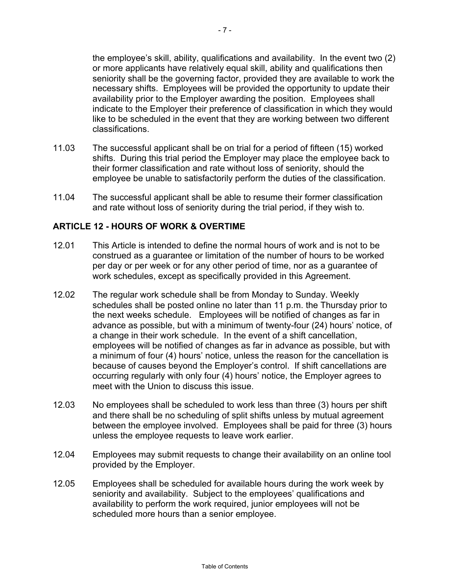<span id="page-8-0"></span>the employee's skill, ability, qualifications and availability. In the event two (2) or more applicants have relatively equal skill, ability and qualifications then seniority shall be the governing factor, provided they are available to work the necessary shifts. Employees will be provided the opportunity to update their availability prior to the Employer awarding the position. Employees shall indicate to the Employer their preference of classification in which they would like to be scheduled in the event that they are working between two different classifications.

- 11.03 The successful applicant shall be on trial for a period of fifteen (15) worked shifts. During this trial period the Employer may place the employee back to their former classification and rate without loss of seniority, should the employee be unable to satisfactorily perform the duties of the classification.
- 11.04 The successful applicant shall be able to resume their former classification and rate without loss of seniority during the trial period, if they wish to.

#### **ARTICLE 12 - HOURS OF WORK & OVERTIME**

- 12.01 This Article is intended to define the normal hours of work and is not to be construed as a guarantee or limitation of the number of hours to be worked per day or per week or for any other period of time, nor as a guarantee of work schedules, except as specifically provided in this Agreement.
- 12.02 The regular work schedule shall be from Monday to Sunday. Weekly schedules shall be posted online no later than 11 p.m. the Thursday prior to the next weeks schedule. Employees will be notified of changes as far in advance as possible, but with a minimum of twenty-four (24) hours' notice, of a change in their work schedule. In the event of a shift cancellation, employees will be notified of changes as far in advance as possible, but with a minimum of four (4) hours' notice, unless the reason for the cancellation is because of causes beyond the Employer's control. If shift cancellations are occurring regularly with only four (4) hours' notice, the Employer agrees to meet with the Union to discuss this issue.
- 12.03 No employees shall be scheduled to work less than three (3) hours per shift and there shall be no scheduling of split shifts unless by mutual agreement between the employee involved. Employees shall be paid for three (3) hours unless the employee requests to leave work earlier.
- 12.04 Employees may submit requests to change their availability on an online tool provided by the Employer.
- 12.05 Employees shall be scheduled for available hours during the work week by seniority and availability. Subject to the employees' qualifications and availability to perform the work required, junior employees will not be scheduled more hours than a senior employee.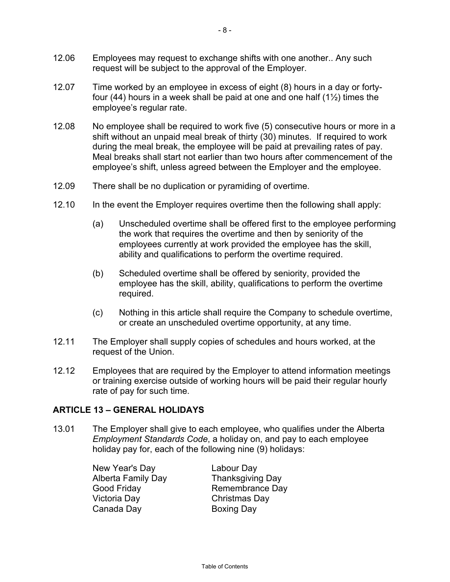- <span id="page-9-0"></span>12.06 Employees may request to exchange shifts with one another.. Any such request will be subject to the approval of the Employer.
- 12.07 Time worked by an employee in excess of eight (8) hours in a day or fortyfour (44) hours in a week shall be paid at one and one half  $(1\frac{1}{2})$  times the employee's regular rate.
- 12.08 No employee shall be required to work five (5) consecutive hours or more in a shift without an unpaid meal break of thirty (30) minutes. If required to work during the meal break, the employee will be paid at prevailing rates of pay. Meal breaks shall start not earlier than two hours after commencement of the employee's shift, unless agreed between the Employer and the employee.
- 12.09 There shall be no duplication or pyramiding of overtime.
- 12.10 In the event the Employer requires overtime then the following shall apply:
	- (a) Unscheduled overtime shall be offered first to the employee performing the work that requires the overtime and then by seniority of the employees currently at work provided the employee has the skill, ability and qualifications to perform the overtime required.
	- (b) Scheduled overtime shall be offered by seniority, provided the employee has the skill, ability, qualifications to perform the overtime required.
	- (c) Nothing in this article shall require the Company to schedule overtime, or create an unscheduled overtime opportunity, at any time.
- 12.11 The Employer shall supply copies of schedules and hours worked, at the request of the Union.
- 12.12 Employees that are required by the Employer to attend information meetings or training exercise outside of working hours will be paid their regular hourly rate of pay for such time.

#### **ARTICLE 13 – GENERAL HOLIDAYS**

13.01 The Employer shall give to each employee, who qualifies under the Alberta *Employment Standards Code*, a holiday on, and pay to each employee holiday pay for, each of the following nine (9) holidays:

> New Year's Day Labour Day Alberta Family Day Thanksgiving Day Victoria Day Christmas Day Canada Day **Boxing Day**

Good Friday Remembrance Day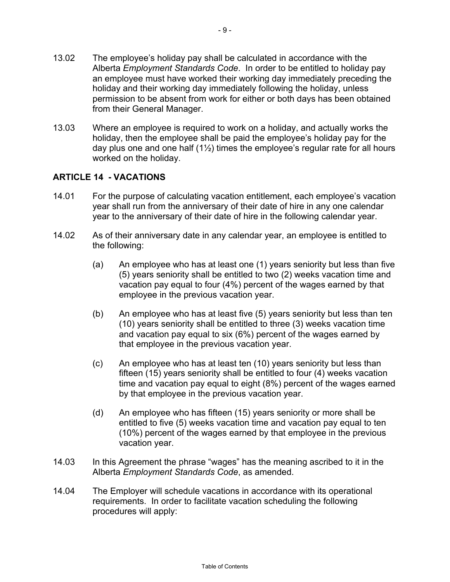- <span id="page-10-0"></span>13.02 The employee's holiday pay shall be calculated in accordance with the Alberta *Employment Standards Code*. In order to be entitled to holiday pay an employee must have worked their working day immediately preceding the holiday and their working day immediately following the holiday, unless permission to be absent from work for either or both days has been obtained from their General Manager.
- 13.03 Where an employee is required to work on a holiday, and actually works the holiday, then the employee shall be paid the employee's holiday pay for the day plus one and one half  $(1\frac{1}{2})$  times the employee's regular rate for all hours worked on the holiday.

## **ARTICLE 14 - VACATIONS**

- 14.01 For the purpose of calculating vacation entitlement, each employee's vacation year shall run from the anniversary of their date of hire in any one calendar year to the anniversary of their date of hire in the following calendar year.
- 14.02 As of their anniversary date in any calendar year, an employee is entitled to the following:
	- (a) An employee who has at least one (1) years seniority but less than five (5) years seniority shall be entitled to two (2) weeks vacation time and vacation pay equal to four (4%) percent of the wages earned by that employee in the previous vacation year.
	- (b) An employee who has at least five (5) years seniority but less than ten (10) years seniority shall be entitled to three (3) weeks vacation time and vacation pay equal to six (6%) percent of the wages earned by that employee in the previous vacation year.
	- (c) An employee who has at least ten (10) years seniority but less than fifteen (15) years seniority shall be entitled to four (4) weeks vacation time and vacation pay equal to eight (8%) percent of the wages earned by that employee in the previous vacation year.
	- (d) An employee who has fifteen (15) years seniority or more shall be entitled to five (5) weeks vacation time and vacation pay equal to ten (10%) percent of the wages earned by that employee in the previous vacation year.
- 14.03 In this Agreement the phrase "wages" has the meaning ascribed to it in the Alberta *Employment Standards Code*, as amended.
- 14.04 The Employer will schedule vacations in accordance with its operational requirements. In order to facilitate vacation scheduling the following procedures will apply: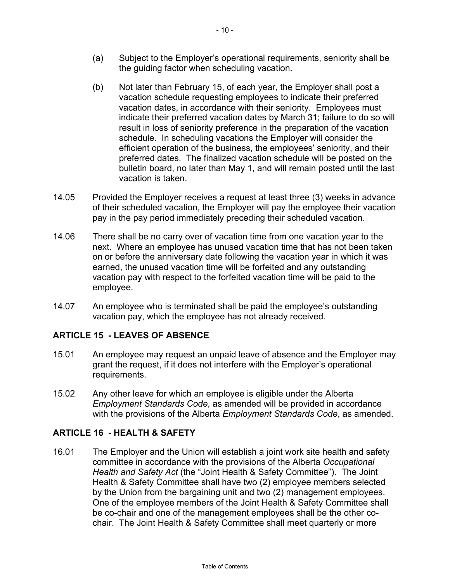- <span id="page-11-0"></span>(b) Not later than February 15, of each year, the Employer shall post a vacation schedule requesting employees to indicate their preferred vacation dates, in accordance with their seniority. Employees must indicate their preferred vacation dates by March 31; failure to do so will result in loss of seniority preference in the preparation of the vacation schedule. In scheduling vacations the Employer will consider the efficient operation of the business, the employees' seniority, and their preferred dates. The finalized vacation schedule will be posted on the bulletin board, no later than May 1, and will remain posted until the last vacation is taken.
- 14.05 Provided the Employer receives a request at least three (3) weeks in advance of their scheduled vacation, the Employer will pay the employee their vacation pay in the pay period immediately preceding their scheduled vacation.
- 14.06 There shall be no carry over of vacation time from one vacation year to the next. Where an employee has unused vacation time that has not been taken on or before the anniversary date following the vacation year in which it was earned, the unused vacation time will be forfeited and any outstanding vacation pay with respect to the forfeited vacation time will be paid to the employee.
- 14.07 An employee who is terminated shall be paid the employee's outstanding vacation pay, which the employee has not already received.

# **ARTICLE 15 - LEAVES OF ABSENCE**

- 15.01 An employee may request an unpaid leave of absence and the Employer may grant the request, if it does not interfere with the Employer's operational requirements.
- 15.02 Any other leave for which an employee is eligible under the Alberta *Employment Standards Code*, as amended will be provided in accordance with the provisions of the Alberta *Employment Standards Code*, as amended.

# **ARTICLE 16 - HEALTH & SAFETY**

16.01 The Employer and the Union will establish a joint work site health and safety committee in accordance with the provisions of the Alberta *Occupational Health and Safety Act* (the "Joint Health & Safety Committee"). The Joint Health & Safety Committee shall have two (2) employee members selected by the Union from the bargaining unit and two (2) management employees. One of the employee members of the Joint Health & Safety Committee shall be co-chair and one of the management employees shall be the other cochair. The Joint Health & Safety Committee shall meet quarterly or more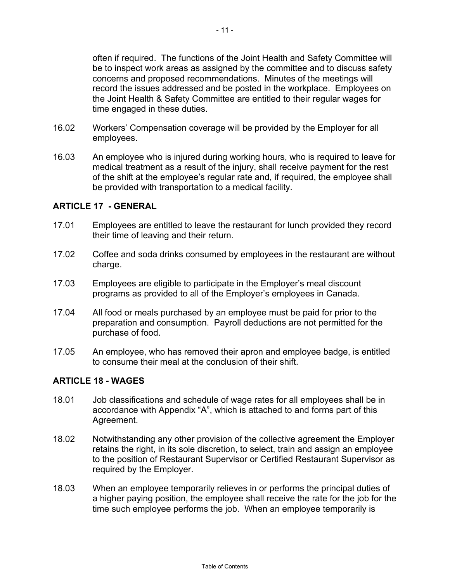<span id="page-12-0"></span>often if required. The functions of the Joint Health and Safety Committee will be to inspect work areas as assigned by the committee and to discuss safety concerns and proposed recommendations. Minutes of the meetings will record the issues addressed and be posted in the workplace. Employees on the Joint Health & Safety Committee are entitled to their regular wages for time engaged in these duties.

- 16.02 Workers' Compensation coverage will be provided by the Employer for all employees.
- 16.03 An employee who is injured during working hours, who is required to leave for medical treatment as a result of the injury, shall receive payment for the rest of the shift at the employee's regular rate and, if required, the employee shall be provided with transportation to a medical facility.

#### **ARTICLE 17 - GENERAL**

- 17.01 Employees are entitled to leave the restaurant for lunch provided they record their time of leaving and their return.
- 17.02 Coffee and soda drinks consumed by employees in the restaurant are without charge.
- 17.03 Employees are eligible to participate in the Employer's meal discount programs as provided to all of the Employer's employees in Canada.
- 17.04 All food or meals purchased by an employee must be paid for prior to the preparation and consumption. Payroll deductions are not permitted for the purchase of food.
- 17.05 An employee, who has removed their apron and employee badge, is entitled to consume their meal at the conclusion of their shift.

#### **ARTICLE 18 - WAGES**

- 18.01 Job classifications and schedule of wage rates for all employees shall be in accordance with Appendix "A", which is attached to and forms part of this Agreement.
- 18.02 Notwithstanding any other provision of the collective agreement the Employer retains the right, in its sole discretion, to select, train and assign an employee to the position of Restaurant Supervisor or Certified Restaurant Supervisor as required by the Employer.
- 18.03 When an employee temporarily relieves in or performs the principal duties of a higher paying position, the employee shall receive the rate for the job for the time such employee performs the job. When an employee temporarily is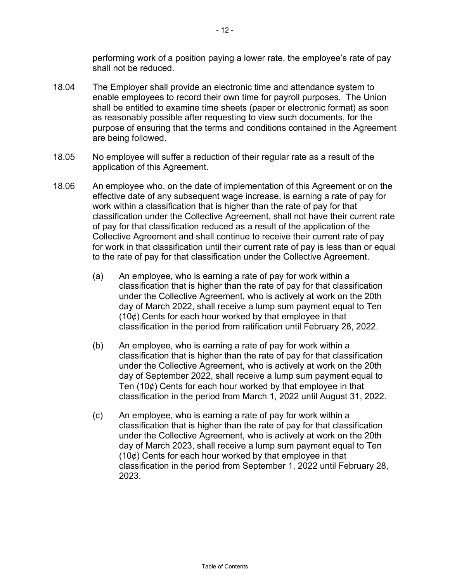performing work of a position paying a lower rate, the employee's rate of pay shall not be reduced.

- 18.04 The Employer shall provide an electronic time and attendance system to enable employees to record their own time for payroll purposes. The Union shall be entitled to examine time sheets (paper or electronic format) as soon as reasonably possible after requesting to view such documents, for the purpose of ensuring that the terms and conditions contained in the Agreement are being followed.
- 18.05 No employee will suffer a reduction of their regular rate as a result of the application of this Agreement.
- 18.06 An employee who, on the date of implementation of this Agreement or on the effective date of any subsequent wage increase, is earning a rate of pay for work within a classification that is higher than the rate of pay for that classification under the Collective Agreement, shall not have their current rate of pay for that classification reduced as a result of the application of the Collective Agreement and shall continue to receive their current rate of pay for work in that classification until their current rate of pay is less than or equal to the rate of pay for that classification under the Collective Agreement.
	- (a) An employee, who is earning a rate of pay for work within a classification that is higher than the rate of pay for that classification under the Collective Agreement, who is actively at work on the 20th day of March 2022, shall receive a lump sum payment equal to Ten (10¢) Cents for each hour worked by that employee in that classification in the period from ratification until February 28, 2022.
	- (b) An employee, who is earning a rate of pay for work within a classification that is higher than the rate of pay for that classification under the Collective Agreement, who is actively at work on the 20th day of September 2022, shall receive a lump sum payment equal to Ten (10¢) Cents for each hour worked by that employee in that classification in the period from March 1, 2022 until August 31, 2022.
	- (c) An employee, who is earning a rate of pay for work within a classification that is higher than the rate of pay for that classification under the Collective Agreement, who is actively at work on the 20th day of March 2023, shall receive a lump sum payment equal to Ten (10¢) Cents for each hour worked by that employee in that classification in the period from September 1, 2022 until February 28, 2023.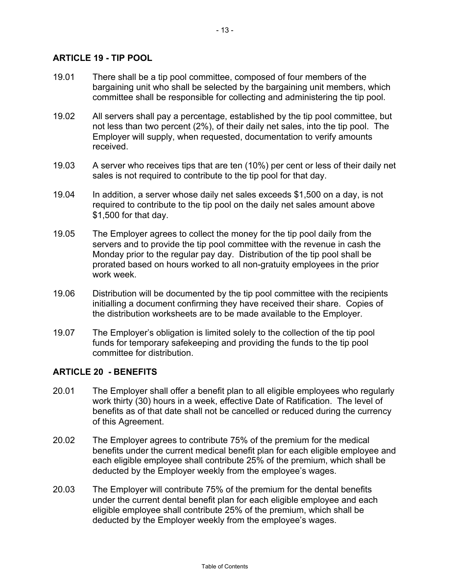#### <span id="page-14-0"></span>**ARTICLE 19 - TIP POOL**

- 19.01 There shall be a tip pool committee, composed of four members of the bargaining unit who shall be selected by the bargaining unit members, which committee shall be responsible for collecting and administering the tip pool.
- 19.02 All servers shall pay a percentage, established by the tip pool committee, but not less than two percent (2%), of their daily net sales, into the tip pool. The Employer will supply, when requested, documentation to verify amounts received.
- 19.03 A server who receives tips that are ten (10%) per cent or less of their daily net sales is not required to contribute to the tip pool for that day.
- 19.04 In addition, a server whose daily net sales exceeds \$1,500 on a day, is not required to contribute to the tip pool on the daily net sales amount above \$1,500 for that day.
- 19.05 The Employer agrees to collect the money for the tip pool daily from the servers and to provide the tip pool committee with the revenue in cash the Monday prior to the regular pay day. Distribution of the tip pool shall be prorated based on hours worked to all non-gratuity employees in the prior work week.
- 19.06 Distribution will be documented by the tip pool committee with the recipients initialling a document confirming they have received their share. Copies of the distribution worksheets are to be made available to the Employer.
- 19.07 The Employer's obligation is limited solely to the collection of the tip pool funds for temporary safekeeping and providing the funds to the tip pool committee for distribution.

#### **ARTICLE 20 - BENEFITS**

- 20.01 The Employer shall offer a benefit plan to all eligible employees who regularly work thirty (30) hours in a week, effective Date of Ratification. The level of benefits as of that date shall not be cancelled or reduced during the currency of this Agreement.
- 20.02 The Employer agrees to contribute 75% of the premium for the medical benefits under the current medical benefit plan for each eligible employee and each eligible employee shall contribute 25% of the premium, which shall be deducted by the Employer weekly from the employee's wages.
- 20.03 The Employer will contribute 75% of the premium for the dental benefits under the current dental benefit plan for each eligible employee and each eligible employee shall contribute 25% of the premium, which shall be deducted by the Employer weekly from the employee's wages.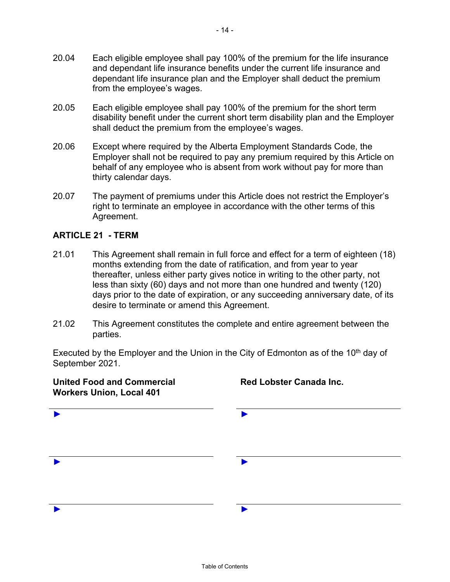- <span id="page-15-0"></span>20.04 Each eligible employee shall pay 100% of the premium for the life insurance and dependant life insurance benefits under the current life insurance and dependant life insurance plan and the Employer shall deduct the premium from the employee's wages.
- 20.05 Each eligible employee shall pay 100% of the premium for the short term disability benefit under the current short term disability plan and the Employer shall deduct the premium from the employee's wages.
- 20.06 Except where required by the Alberta Employment Standards Code, the Employer shall not be required to pay any premium required by this Article on behalf of any employee who is absent from work without pay for more than thirty calendar days.
- 20.07 The payment of premiums under this Article does not restrict the Employer's right to terminate an employee in accordance with the other terms of this Agreement.

#### **ARTICLE 21 - TERM**

- 21.01 This Agreement shall remain in full force and effect for a term of eighteen (18) months extending from the date of ratification, and from year to year thereafter, unless either party gives notice in writing to the other party, not less than sixty (60) days and not more than one hundred and twenty (120) days prior to the date of expiration, or any succeeding anniversary date, of its desire to terminate or amend this Agreement.
- 21.02 This Agreement constitutes the complete and entire agreement between the parties.

Executed by the Employer and the Union in the City of Edmonton as of the  $10<sup>th</sup>$  day of September 2021.

| <b>United Food and Commercial</b><br><b>Workers Union, Local 401</b> | <b>Red Lobster Canada Inc.</b> |  |  |
|----------------------------------------------------------------------|--------------------------------|--|--|
|                                                                      |                                |  |  |
|                                                                      |                                |  |  |
|                                                                      |                                |  |  |